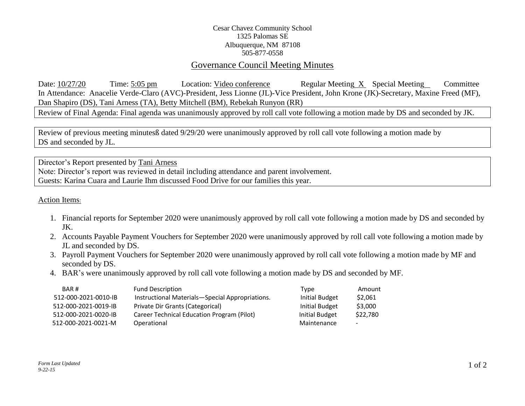## Cesar Chavez Community School 1325 Palomas SE Albuquerque, NM 87108 505-877-0558

## Governance Council Meeting Minutes

Date: 10/27/20 Time: 5:05 pm Location: Video conference Regular Meeting X Special Meeting Committee In Attendance: Anacelie Verde-Claro (AVC)-President, Jess Lionne (JL)-Vice President, John Krone (JK)-Secretary, Maxine Freed (MF), Dan Shapiro (DS), Tani Arness (TA), Betty Mitchell (BM), Rebekah Runyon (RR)

Review of Final Agenda: Final agenda was unanimously approved by roll call vote following a motion made by DS and seconded by JK.

Review of previous meeting minutesß dated 9/29/20 were unanimously approved by roll call vote following a motion made by DS and seconded by JL.

Director's Report presented by Tani Arness Note: Director's report was reviewed in detail including attendance and parent involvement. Guests: Karina Cuara and Laurie Ihm discussed Food Drive for our families this year.

Action Items:

- 1. Financial reports for September 2020 were unanimously approved by roll call vote following a motion made by DS and seconded by JK.
- 2. Accounts Payable Payment Vouchers for September 2020 were unanimously approved by roll call vote following a motion made by JL and seconded by DS.
- 3. Payroll Payment Vouchers for September 2020 were unanimously approved by roll call vote following a motion made by MF and seconded by DS.
- 4. BAR's were unanimously approved by roll call vote following a motion made by DS and seconded by MF.

| BAR#                 | <b>Fund Description</b>                         | Type           | Amount   |
|----------------------|-------------------------------------------------|----------------|----------|
| 512-000-2021-0010-IB | Instructional Materials-Special Appropriations. | Initial Budget | \$2,061  |
| 512-000-2021-0019-IB | Private Dir Grants (Categorical)                | Initial Budget | \$3,000  |
| 512-000-2021-0020-IB | Career Technical Education Program (Pilot)      | Initial Budget | \$22,780 |
| 512-000-2021-0021-M  | Operational                                     | Maintenance    | $\sim$   |